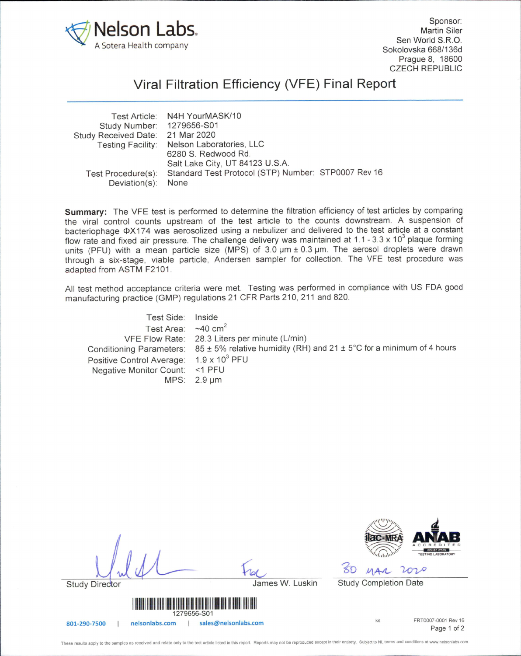

Sponsor: **Martin Siler** Sen World S.R.O. Sokolovska 668/136d Prague 8, 18600 CZECH REPUBLIC

 $\overline{d}$ 

Antillillilli

Page 1 of 2

## Viral Filtration Efficiency (VFE) Final Report

| Nelson Laboratories, LLC                            |
|-----------------------------------------------------|
|                                                     |
| Salt Lake City, UT 84123 U.S.A.                     |
| Standard Test Protocol (STP) Number: STP0007 Rev 16 |
|                                                     |
|                                                     |

Summary: The VFE test is performed to determine the filtration efficiency of test articles by comparing the viral control counts upstream of the test article to the counts downstream. A suspension of bacteriophage 0X174 was aerosolized using a nebulizer and delivered to the test article at a constant flow rate and fixed air pressure. The challenge delivery was maintained at 1.1 - 3.3 x 10<sup>3</sup> plaque forming units (PFU) with a mean particle size (MPS) of 3.0 um ± 0.3 um. The aerosol droplets were drawn through a six-stage, viable particle, Andersen sampler for collection. The VFE test procedure was adapted from ASTM F2101.

All test method acceptance criteria were met. Testing was performed in compliance with US FDA good manufacturing practice (GMP) regulations 21 CFR Parts 210, 211 and 820.

| Test Side: Inside                                   |                                                                                                               |
|-----------------------------------------------------|---------------------------------------------------------------------------------------------------------------|
| Test Area: $\sim$ 40 cm <sup>2</sup>                |                                                                                                               |
|                                                     | VFE Flow Rate: 28.3 Liters per minute (L/min)                                                                 |
|                                                     | Conditioning Parameters: $85 \pm 5\%$ relative humidity (RH) and $21 \pm 5\degree$ C for a minimum of 4 hours |
| Positive Control Average: 1.9 x 10 <sup>3</sup> PFU |                                                                                                               |
| Negative Monitor Count: <1 PFU                      |                                                                                                               |
|                                                     | $MPS: 2.9 \mu m$                                                                                              |

|                                                        |                 |  |                              | ACCREDITED<br><b>ISO/IEC 17025</b><br>TESTING LABORATORY |
|--------------------------------------------------------|-----------------|--|------------------------------|----------------------------------------------------------|
| w                                                      |                 |  |                              | rozo                                                     |
| <b>Study Director</b>                                  | James W. Luskin |  | <b>Study Completion Date</b> |                                                          |
| <u>A BIN BIN HENRI HENRI HENRI H</u><br>1279656-S01    |                 |  |                              |                                                          |
| sales@nelsonlabs.com<br>nelsonlabs.com<br>801-290-7500 |                 |  | ks                           | FRT0007-0001 Rev 16<br>Page 1 of 2                       |